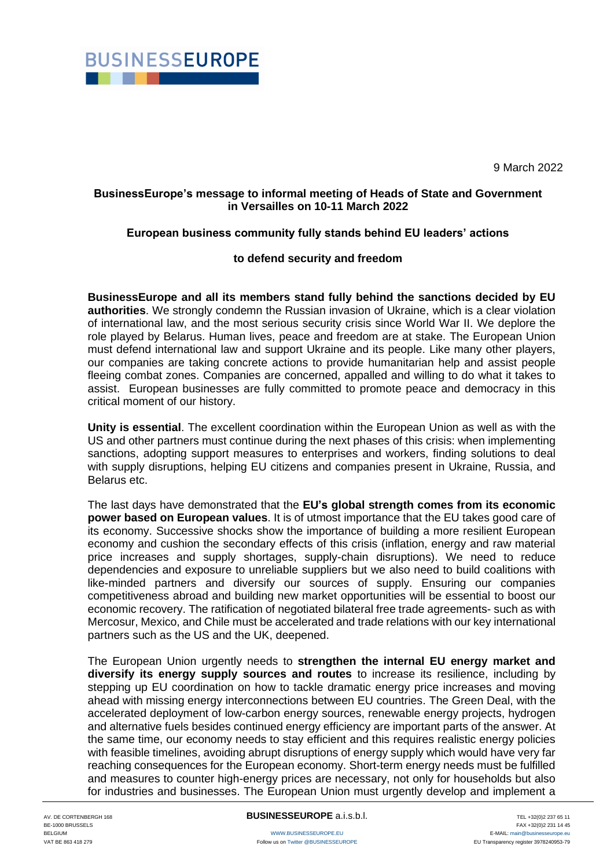

9 March 2022

## **BusinessEurope's message to informal meeting of Heads of State and Government in Versailles on 10-11 March 2022**

## **European business community fully stands behind EU leaders' actions**

## **to defend security and freedom**

**BusinessEurope and all its members stand fully behind the sanctions decided by EU authorities**. We strongly condemn the Russian invasion of Ukraine, which is a clear violation of international law, and the most serious security crisis since World War II. We deplore the role played by Belarus. Human lives, peace and freedom are at stake. The European Union must defend international law and support Ukraine and its people. Like many other players, our companies are taking concrete actions to provide humanitarian help and assist people fleeing combat zones. Companies are concerned, appalled and willing to do what it takes to assist. European businesses are fully committed to promote peace and democracy in this critical moment of our history.

**Unity is essential**. The excellent coordination within the European Union as well as with the US and other partners must continue during the next phases of this crisis: when implementing sanctions, adopting support measures to enterprises and workers, finding solutions to deal with supply disruptions, helping EU citizens and companies present in Ukraine, Russia, and Belarus etc.

The last days have demonstrated that the **EU's global strength comes from its economic power based on European values**. It is of utmost importance that the EU takes good care of its economy. Successive shocks show the importance of building a more resilient European economy and cushion the secondary effects of this crisis (inflation, energy and raw material price increases and supply shortages, supply-chain disruptions). We need to reduce dependencies and exposure to unreliable suppliers but we also need to build coalitions with like-minded partners and diversify our sources of supply. Ensuring our companies competitiveness abroad and building new market opportunities will be essential to boost our economic recovery. The ratification of negotiated bilateral free trade agreements- such as with Mercosur, Mexico, and Chile must be accelerated and trade relations with our key international partners such as the US and the UK, deepened.

The European Union urgently needs to **strengthen the internal EU energy market and diversify its energy supply sources and routes** to increase its resilience, including by stepping up EU coordination on how to tackle dramatic energy price increases and moving ahead with missing energy interconnections between EU countries. The Green Deal, with the accelerated deployment of low-carbon energy sources, renewable energy projects, hydrogen and alternative fuels besides continued energy efficiency are important parts of the answer. At the same time, our economy needs to stay efficient and this requires realistic energy policies with feasible timelines, avoiding abrupt disruptions of energy supply which would have very far reaching consequences for the European economy. Short-term energy needs must be fulfilled and measures to counter high-energy prices are necessary, not only for households but also for industries and businesses. The European Union must urgently develop and implement a